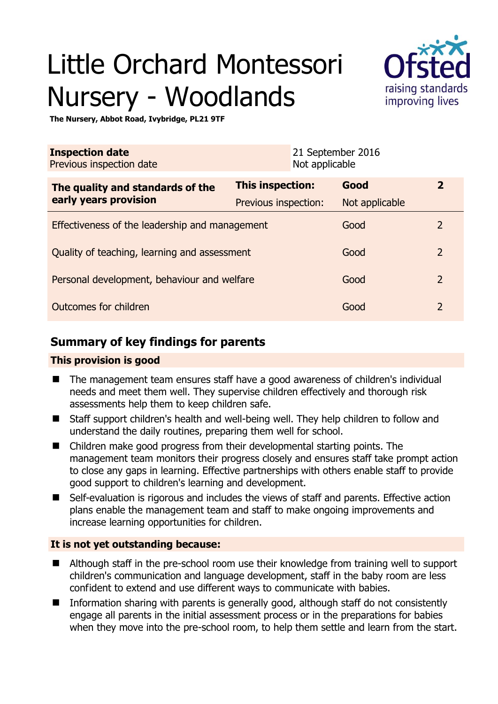# Little Orchard Montessori Nursery - Woodlands



**The Nursery, Abbot Road, Ivybridge, PL21 9TF** 

| <b>Inspection date</b><br>Previous inspection date        | Not applicable          | 21 September 2016 |                |
|-----------------------------------------------------------|-------------------------|-------------------|----------------|
| The quality and standards of the<br>early years provision | <b>This inspection:</b> | Good              | $\mathbf{2}$   |
|                                                           | Previous inspection:    | Not applicable    |                |
| Effectiveness of the leadership and management            |                         | Good              | $\overline{2}$ |
| Quality of teaching, learning and assessment              |                         | Good              | $\overline{2}$ |
| Personal development, behaviour and welfare               |                         | Good              | $\overline{2}$ |
| Outcomes for children                                     |                         | Good              | $\mathcal{P}$  |

# **Summary of key findings for parents**

## **This provision is good**

- The management team ensures staff have a good awareness of children's individual needs and meet them well. They supervise children effectively and thorough risk assessments help them to keep children safe.
- Staff support children's health and well-being well. They help children to follow and understand the daily routines, preparing them well for school.
- Children make good progress from their developmental starting points. The management team monitors their progress closely and ensures staff take prompt action to close any gaps in learning. Effective partnerships with others enable staff to provide good support to children's learning and development.
- Self-evaluation is rigorous and includes the views of staff and parents. Effective action plans enable the management team and staff to make ongoing improvements and increase learning opportunities for children.

## **It is not yet outstanding because:**

- Although staff in the pre-school room use their knowledge from training well to support children's communication and language development, staff in the baby room are less confident to extend and use different ways to communicate with babies.
- **IFM** Information sharing with parents is generally good, although staff do not consistently engage all parents in the initial assessment process or in the preparations for babies when they move into the pre-school room, to help them settle and learn from the start.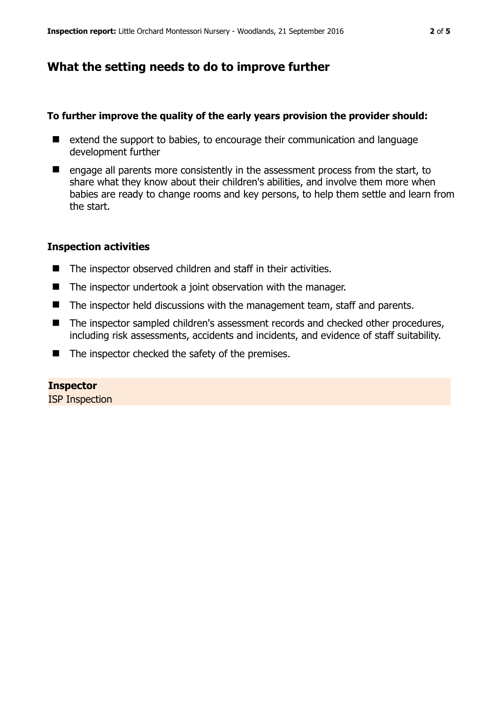## **What the setting needs to do to improve further**

#### **To further improve the quality of the early years provision the provider should:**

- $\blacksquare$  extend the support to babies, to encourage their communication and language development further
- $\blacksquare$  engage all parents more consistently in the assessment process from the start, to share what they know about their children's abilities, and involve them more when babies are ready to change rooms and key persons, to help them settle and learn from the start.

#### **Inspection activities**

- The inspector observed children and staff in their activities.
- The inspector undertook a joint observation with the manager.
- The inspector held discussions with the management team, staff and parents.
- The inspector sampled children's assessment records and checked other procedures, including risk assessments, accidents and incidents, and evidence of staff suitability.
- $\blacksquare$  The inspector checked the safety of the premises.

#### **Inspector**

ISP Inspection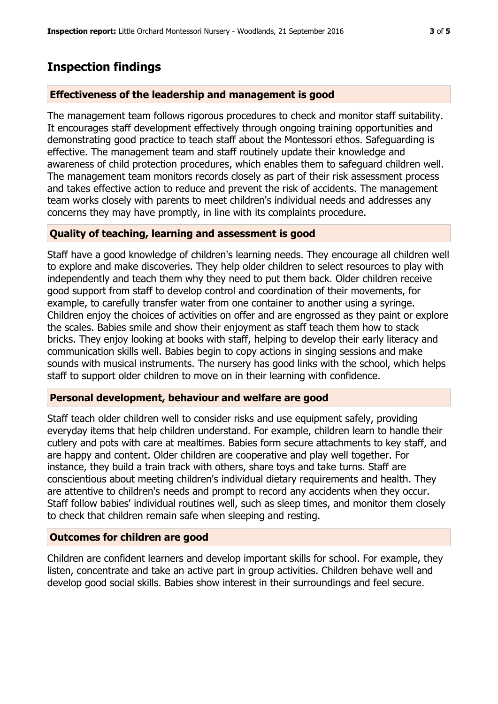## **Inspection findings**

#### **Effectiveness of the leadership and management is good**

The management team follows rigorous procedures to check and monitor staff suitability. It encourages staff development effectively through ongoing training opportunities and demonstrating good practice to teach staff about the Montessori ethos. Safeguarding is effective. The management team and staff routinely update their knowledge and awareness of child protection procedures, which enables them to safeguard children well. The management team monitors records closely as part of their risk assessment process and takes effective action to reduce and prevent the risk of accidents. The management team works closely with parents to meet children's individual needs and addresses any concerns they may have promptly, in line with its complaints procedure.

#### **Quality of teaching, learning and assessment is good**

Staff have a good knowledge of children's learning needs. They encourage all children well to explore and make discoveries. They help older children to select resources to play with independently and teach them why they need to put them back. Older children receive good support from staff to develop control and coordination of their movements, for example, to carefully transfer water from one container to another using a syringe. Children enjoy the choices of activities on offer and are engrossed as they paint or explore the scales. Babies smile and show their enjoyment as staff teach them how to stack bricks. They enjoy looking at books with staff, helping to develop their early literacy and communication skills well. Babies begin to copy actions in singing sessions and make sounds with musical instruments. The nursery has good links with the school, which helps staff to support older children to move on in their learning with confidence.

#### **Personal development, behaviour and welfare are good**

Staff teach older children well to consider risks and use equipment safely, providing everyday items that help children understand. For example, children learn to handle their cutlery and pots with care at mealtimes. Babies form secure attachments to key staff, and are happy and content. Older children are cooperative and play well together. For instance, they build a train track with others, share toys and take turns. Staff are conscientious about meeting children's individual dietary requirements and health. They are attentive to children's needs and prompt to record any accidents when they occur. Staff follow babies' individual routines well, such as sleep times, and monitor them closely to check that children remain safe when sleeping and resting.

## **Outcomes for children are good**

Children are confident learners and develop important skills for school. For example, they listen, concentrate and take an active part in group activities. Children behave well and develop good social skills. Babies show interest in their surroundings and feel secure.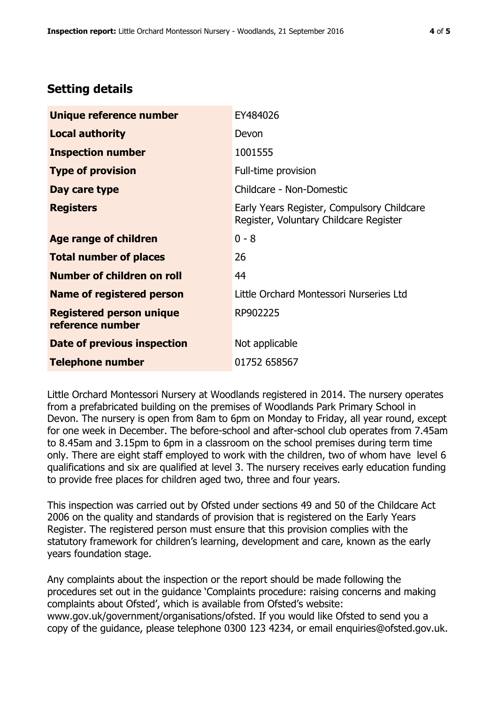# **Setting details**

| Unique reference number                             | EY484026                                                                             |  |
|-----------------------------------------------------|--------------------------------------------------------------------------------------|--|
| <b>Local authority</b>                              | Devon                                                                                |  |
| <b>Inspection number</b>                            | 1001555                                                                              |  |
| <b>Type of provision</b>                            | Full-time provision                                                                  |  |
| Day care type                                       | Childcare - Non-Domestic                                                             |  |
| <b>Registers</b>                                    | Early Years Register, Compulsory Childcare<br>Register, Voluntary Childcare Register |  |
| Age range of children                               | $0 - 8$                                                                              |  |
| <b>Total number of places</b>                       | 26                                                                                   |  |
| Number of children on roll                          | 44                                                                                   |  |
| <b>Name of registered person</b>                    | Little Orchard Montessori Nurseries Ltd                                              |  |
| <b>Registered person unique</b><br>reference number | RP902225                                                                             |  |
| <b>Date of previous inspection</b>                  | Not applicable                                                                       |  |
| <b>Telephone number</b>                             | 01752 658567                                                                         |  |

Little Orchard Montessori Nursery at Woodlands registered in 2014. The nursery operates from a prefabricated building on the premises of Woodlands Park Primary School in Devon. The nursery is open from 8am to 6pm on Monday to Friday, all year round, except for one week in December. The before-school and after-school club operates from 7.45am to 8.45am and 3.15pm to 6pm in a classroom on the school premises during term time only. There are eight staff employed to work with the children, two of whom have level 6 qualifications and six are qualified at level 3. The nursery receives early education funding to provide free places for children aged two, three and four years.

This inspection was carried out by Ofsted under sections 49 and 50 of the Childcare Act 2006 on the quality and standards of provision that is registered on the Early Years Register. The registered person must ensure that this provision complies with the statutory framework for children's learning, development and care, known as the early years foundation stage.

Any complaints about the inspection or the report should be made following the procedures set out in the guidance 'Complaints procedure: raising concerns and making complaints about Ofsted', which is available from Ofsted's website: www.gov.uk/government/organisations/ofsted. If you would like Ofsted to send you a copy of the guidance, please telephone 0300 123 4234, or email enquiries@ofsted.gov.uk.